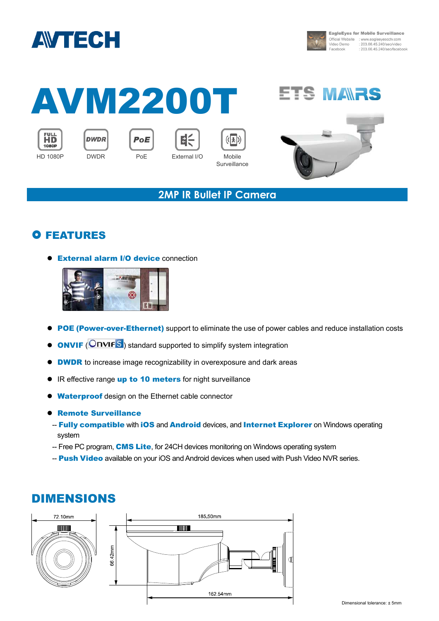



**EagleEyes for Mobile Surveillance** Official Website : www.eagleeyescctv.com<br>Video Demo : 203.66.45.240/seo/video : 203.66.45.240/seo/facebook

# AVM2200T





PoE





**Surveillance** 



#### **2MP IR Bullet IP Camera**

### **O FEATURES**

**External alarm I/O device connection** 



- **POE (Power-over-Ethernet)** support to eliminate the use of power cables and reduce installation costs
- **ONVIF** (**ONVIF**S<sup></sup>) standard supported to simplify system integration
- **DWDR** to increase image recognizability in overexposure and dark areas
- IR effective range up to 10 meters for night surveillance
- **Waterproof** design on the Ethernet cable connector
- **Remote Surveillance**
- Fully compatible with iOS and Android devices, and Internet Explorer on Windows operating system
- -- Free PC program, **CMS Lite**, for 24CH devices monitoring on Windows operating system
- -- Push Video available on your iOS and Android devices when used with Push Video NVR series.

## DIMENSIONS